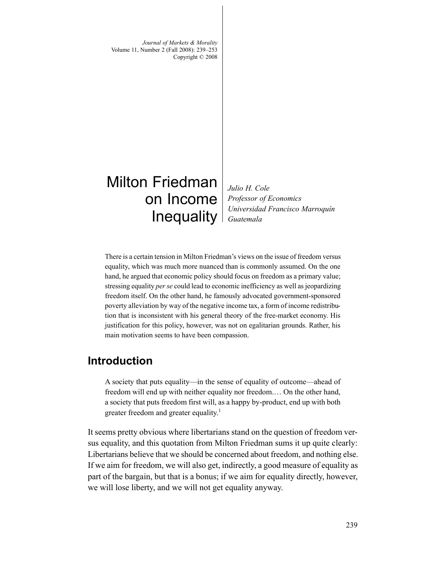*Journal of Markets & Morality* Volume 11, Number 2 (Fall 2008): 239–253 Copyright © 2008

# Milton Friedman on Income Inequality

*Julio H. Cole Professor of Economics Universidad Francisco Marroquín Guatemala*

There is a certain tension in Milton Friedman's views on the issue of freedom versus equality, which was much more nuanced than is commonly assumed. On the one hand, he argued that economic policy should focus on freedom as a primary value; stressing equality *per se* could lead to economic inefficiency as well as jeopardizing freedom itself. On the other hand, he famously advocated government-sponsored poverty alleviation by way of the negative income tax, a form of income redistribution that is inconsistent with his general theory of the free-market economy. His justification for this policy, however, was not on egalitarian grounds. Rather, his main motivation seems to have been compassion.

# **Introduction**

A society that puts equality—in the sense of equality of outcome—ahead of freedom will end up with neither equality nor freedom.… On the other hand, a society that puts freedom first will, as a happy by-product, end up with both greater freedom and greater equality.<sup>1</sup>

It seems pretty obvious where libertarians stand on the question of freedom versus equality, and this quotation from Milton Friedman sums it up quite clearly: Libertarians believe that we should be concerned about freedom, and nothing else. If we aim for freedom, we will also get, indirectly, a good measure of equality as part of the bargain, but that is a bonus; if we aim for equality directly, however, we will lose liberty, and we will not get equality anyway.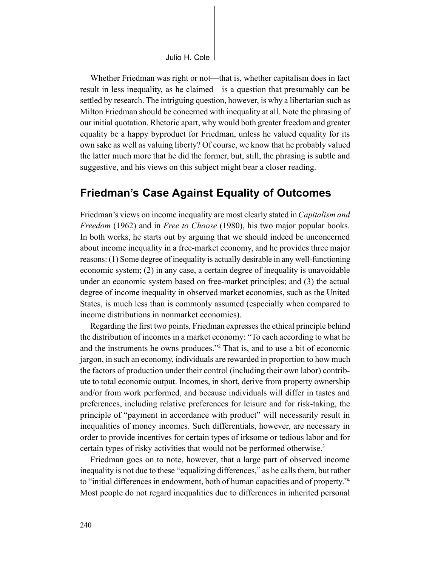Whether Friedman was right or not—that is, whether capitalism does in fact result in less inequality, as he claimed—is a question that presumably can be settled by research. The intriguing question, however, is why a libertarian such as Milton Friedman should be concerned with inequality at all. Note the phrasing of our initial quotation. Rhetoric apart, why would both greater freedom and greater equality be a happy byproduct for Friedman, unless he valued equality for its own sake as well as valuing liberty? Of course, we know that he probably valued the latter much more that he did the former, but, still, the phrasing is subtle and suggestive, and his views on this subject might bear a closer reading.

### **Friedman's Case Against Equality of Outcomes**

Friedman's views on income inequality are most clearly stated in *Capitalism and Freedom* (1962) and in *Free to Choose* (1980), his two major popular books. In both works, he starts out by arguing that we should indeed be unconcerned about income inequality in a free-market economy, and he provides three major reasons: (1) Some degree of inequality is actually desirable in any well-functioning economic system; (2) in any case, a certain degree of inequality is unavoidable under an economic system based on free-market principles; and (3) the actual degree of income inequality in observed market economies, such as the United States, is much less than is commonly assumed (especially when compared to income distributions in nonmarket economies).

Regarding the first two points, Friedman expresses the ethical principle behind the distribution of incomes in a market economy: "To each according to what he and the instruments he owns produces."2 That is, and to use a bit of economic jargon, in such an economy, individuals are rewarded in proportion to how much the factors of production under their control (including their own labor) contribute to total economic output. Incomes, in short, derive from property ownership and/or from work performed, and because individuals will differ in tastes and preferences, including relative preferences for leisure and for risk-taking, the principle of "payment in accordance with product" will necessarily result in inequalities of money incomes. Such differentials, however, are necessary in order to provide incentives for certain types of irksome or tedious labor and for certain types of risky activities that would not be performed otherwise.3

Friedman goes on to note, however, that a large part of observed income inequality is not due to these "equalizing differences," as he calls them, but rather to "initial differences in endowment, both of human capacities and of property."4 Most people do not regard inequalities due to differences in inherited personal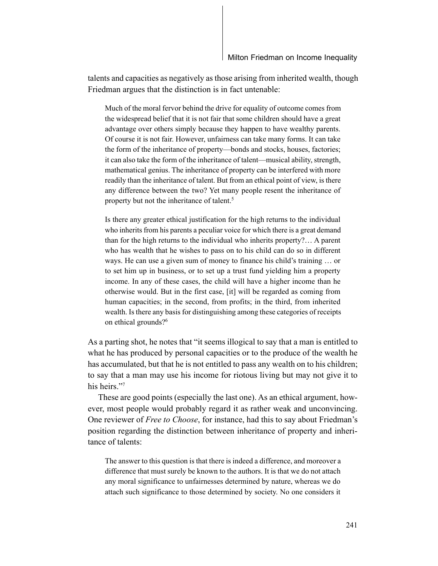talents and capacities as negatively as those arising from inherited wealth, though Friedman argues that the distinction is in fact untenable:

Much of the moral fervor behind the drive for equality of outcome comes from the widespread belief that it is not fair that some children should have a great advantage over others simply because they happen to have wealthy parents. Of course it is not fair. However, unfairness can take many forms. It can take the form of the inheritance of property—bonds and stocks, houses, factories; it can also take the form of the inheritance of talent—musical ability, strength, mathematical genius. The inheritance of property can be interfered with more readily than the inheritance of talent. But from an ethical point of view, is there any difference between the two? Yet many people resent the inheritance of property but not the inheritance of talent.<sup>5</sup>

Is there any greater ethical justification for the high returns to the individual who inherits from his parents a peculiar voice for which there is a great demand than for the high returns to the individual who inherits property?… A parent who has wealth that he wishes to pass on to his child can do so in different ways. He can use a given sum of money to finance his child's training … or to set him up in business, or to set up a trust fund yielding him a property income. In any of these cases, the child will have a higher income than he otherwise would. But in the first case, [it] will be regarded as coming from human capacities; in the second, from profits; in the third, from inherited wealth. Is there any basis for distinguishing among these categories of receipts on ethical grounds?6

As a parting shot, he notes that "it seems illogical to say that a man is entitled to what he has produced by personal capacities or to the produce of the wealth he has accumulated, but that he is not entitled to pass any wealth on to his children; to say that a man may use his income for riotous living but may not give it to his heirs."7

These are good points (especially the last one). As an ethical argument, however, most people would probably regard it as rather weak and unconvincing. One reviewer of *Free to Choose*, for instance, had this to say about Friedman's position regarding the distinction between inheritance of property and inheritance of talents:

The answer to this question is that there is indeed a difference, and moreover a difference that must surely be known to the authors. It is that we do not attach any moral significance to unfairnesses determined by nature, whereas we do attach such significance to those determined by society. No one considers it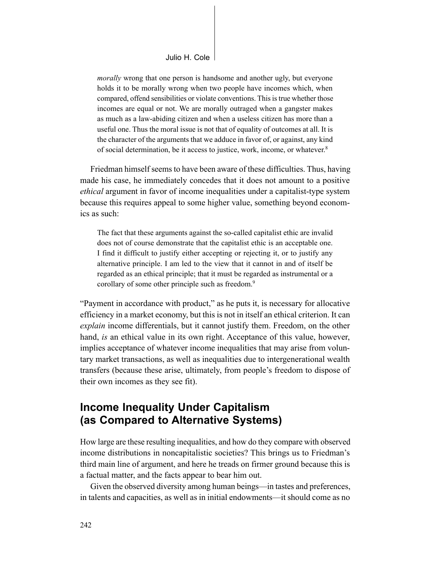*morally* wrong that one person is handsome and another ugly, but everyone holds it to be morally wrong when two people have incomes which, when compared, offend sensibilities or violate conventions. This is true whether those incomes are equal or not. We are morally outraged when a gangster makes as much as a law-abiding citizen and when a useless citizen has more than a useful one. Thus the moral issue is not that of equality of outcomes at all. It is the character of the arguments that we adduce in favor of, or against, any kind of social determination, be it access to justice, work, income, or whatever.8

Friedman himself seems to have been aware of these difficulties. Thus, having made his case, he immediately concedes that it does not amount to a positive *ethical* argument in favor of income inequalities under a capitalist-type system because this requires appeal to some higher value, something beyond economics as such:

The fact that these arguments against the so-called capitalist ethic are invalid does not of course demonstrate that the capitalist ethic is an acceptable one. I find it difficult to justify either accepting or rejecting it, or to justify any alternative principle. I am led to the view that it cannot in and of itself be regarded as an ethical principle; that it must be regarded as instrumental or a corollary of some other principle such as freedom.<sup>9</sup>

"Payment in accordance with product," as he puts it, is necessary for allocative efficiency in a market economy, but this is not in itself an ethical criterion. It can *explain* income differentials, but it cannot justify them. Freedom, on the other hand, *is* an ethical value in its own right. Acceptance of this value, however, implies acceptance of whatever income inequalities that may arise from voluntary market transactions, as well as inequalities due to intergenerational wealth transfers (because these arise, ultimately, from people's freedom to dispose of their own incomes as they see fit).

# **Income Inequality Under Capitalism (as Compared to Alternative Systems)**

How large are these resulting inequalities, and how do they compare with observed income distributions in noncapitalistic societies? This brings us to Friedman's third main line of argument, and here he treads on firmer ground because this is a factual matter, and the facts appear to bear him out.

Given the observed diversity among human beings—in tastes and preferences, in talents and capacities, as well as in initial endowments—it should come as no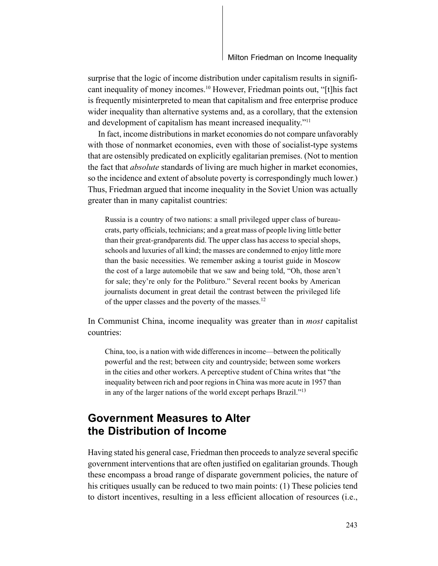surprise that the logic of income distribution under capitalism results in significant inequality of money incomes.10 However, Friedman points out, "[t]his fact is frequently misinterpreted to mean that capitalism and free enterprise produce wider inequality than alternative systems and, as a corollary, that the extension and development of capitalism has meant increased inequality."11

In fact, income distributions in market economies do not compare unfavorably with those of nonmarket economies, even with those of socialist-type systems that are ostensibly predicated on explicitly egalitarian premises. (Not to mention the fact that *absolute* standards of living are much higher in market economies, so the incidence and extent of absolute poverty is correspondingly much lower.) Thus, Friedman argued that income inequality in the Soviet Union was actually greater than in many capitalist countries:

Russia is a country of two nations: a small privileged upper class of bureaucrats, party officials, technicians; and a great mass of people living little better than their great-grandparents did. The upper class has access to special shops, schools and luxuries of all kind; the masses are condemned to enjoy little more than the basic necessities. We remember asking a tourist guide in Moscow the cost of a large automobile that we saw and being told, "Oh, those aren't for sale; they're only for the Politburo." Several recent books by American journalists document in great detail the contrast between the privileged life of the upper classes and the poverty of the masses.<sup>12</sup>

In Communist China, income inequality was greater than in *most* capitalist countries:

China, too, is a nation with wide differences in income—between the politically powerful and the rest; between city and countryside; between some workers in the cities and other workers. A perceptive student of China writes that "the inequality between rich and poor regions in China was more acute in 1957 than in any of the larger nations of the world except perhaps Brazil."<sup>13</sup>

## **Government Measures to Alter the Distribution of Income**

Having stated his general case, Friedman then proceeds to analyze several specific government interventions that are often justified on egalitarian grounds. Though these encompass a broad range of disparate government policies, the nature of his critiques usually can be reduced to two main points: (1) These policies tend to distort incentives, resulting in a less efficient allocation of resources (i.e.,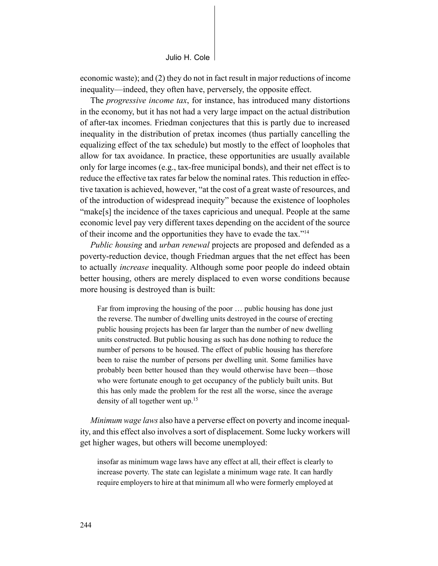economic waste); and (2) they do not in fact result in major reductions of income inequality—indeed, they often have, perversely, the opposite effect.

The *progressive income tax*, for instance, has introduced many distortions in the economy, but it has not had a very large impact on the actual distribution of after-tax incomes. Friedman conjectures that this is partly due to increased inequality in the distribution of pretax incomes (thus partially cancelling the equalizing effect of the tax schedule) but mostly to the effect of loopholes that allow for tax avoidance. In practice, these opportunities are usually available only for large incomes (e.g., tax-free municipal bonds), and their net effect is to reduce the effective tax rates far below the nominal rates. This reduction in effective taxation is achieved, however, "at the cost of a great waste of resources, and of the introduction of widespread inequity" because the existence of loopholes "make[s] the incidence of the taxes capricious and unequal. People at the same economic level pay very different taxes depending on the accident of the source of their income and the opportunities they have to evade the tax."14

*Public housing* and *urban renewal* projects are proposed and defended as a poverty-reduction device, though Friedman argues that the net effect has been to actually *increase* inequality. Although some poor people do indeed obtain better housing, others are merely displaced to even worse conditions because more housing is destroyed than is built:

Far from improving the housing of the poor … public housing has done just the reverse. The number of dwelling units destroyed in the course of erecting public housing projects has been far larger than the number of new dwelling units constructed. But public housing as such has done nothing to reduce the number of persons to be housed. The effect of public housing has therefore been to raise the number of persons per dwelling unit. Some families have probably been better housed than they would otherwise have been—those who were fortunate enough to get occupancy of the publicly built units. But this has only made the problem for the rest all the worse, since the average density of all together went up.15

*Minimum wage laws* also have a perverse effect on poverty and income inequality, and this effect also involves a sort of displacement. Some lucky workers will get higher wages, but others will become unemployed:

insofar as minimum wage laws have any effect at all, their effect is clearly to increase poverty. The state can legislate a minimum wage rate. It can hardly require employers to hire at that minimum all who were formerly employed at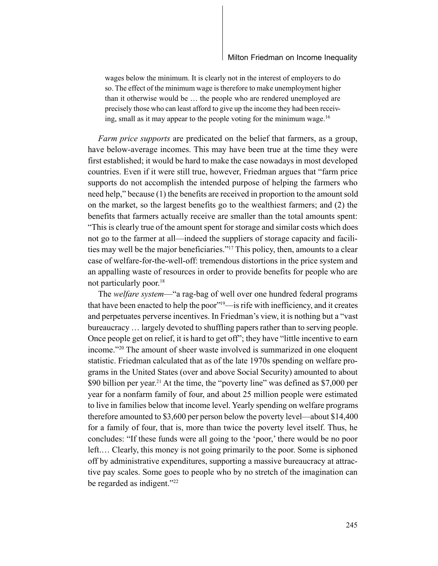wages below the minimum. It is clearly not in the interest of employers to do so. The effect of the minimum wage is therefore to make unemployment higher than it otherwise would be … the people who are rendered unemployed are precisely those who can least afford to give up the income they had been receiving, small as it may appear to the people voting for the minimum wage.<sup>16</sup>

*Farm price supports* are predicated on the belief that farmers, as a group, have below-average incomes. This may have been true at the time they were first established; it would be hard to make the case nowadays in most developed countries. Even if it were still true, however, Friedman argues that "farm price supports do not accomplish the intended purpose of helping the farmers who need help," because (1) the benefits are received in proportion to the amount sold on the market, so the largest benefits go to the wealthiest farmers; and (2) the benefits that farmers actually receive are smaller than the total amounts spent: "This is clearly true of the amount spent for storage and similar costs which does not go to the farmer at all—indeed the suppliers of storage capacity and facilities may well be the major beneficiaries."17 This policy, then, amounts to a clear case of welfare-for-the-well-off: tremendous distortions in the price system and an appalling waste of resources in order to provide benefits for people who are not particularly poor.18

The *welfare system*—"a rag-bag of well over one hundred federal programs that have been enacted to help the poor"19—is rife with inefficiency, and it creates and perpetuates perverse incentives. In Friedman's view, it is nothing but a "vast bureaucracy … largely devoted to shuffling papers rather than to serving people. Once people get on relief, it is hard to get off"; they have "little incentive to earn income."20 The amount of sheer waste involved is summarized in one eloquent statistic. Friedman calculated that as of the late 1970s spending on welfare programs in the United States (over and above Social Security) amounted to about \$90 billion per year.<sup>21</sup> At the time, the "poverty line" was defined as \$7,000 per year for a nonfarm family of four, and about 25 million people were estimated to live in families below that income level. Yearly spending on welfare programs therefore amounted to \$3,600 per person below the poverty level—about \$14,400 for a family of four, that is, more than twice the poverty level itself. Thus, he concludes: "If these funds were all going to the 'poor,' there would be no poor left.… Clearly, this money is not going primarily to the poor. Some is siphoned off by administrative expenditures, supporting a massive bureaucracy at attractive pay scales. Some goes to people who by no stretch of the imagination can be regarded as indigent."22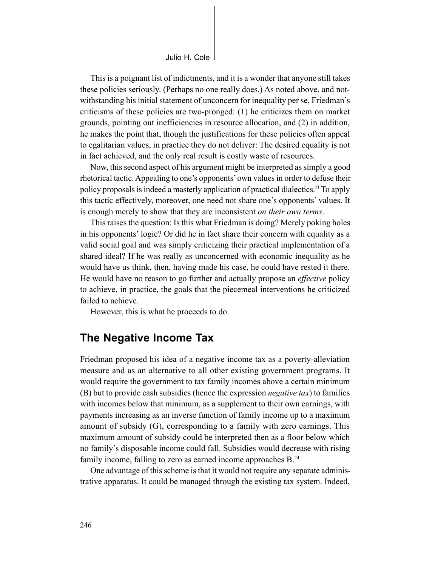This is a poignant list of indictments, and it is a wonder that anyone still takes these policies seriously. (Perhaps no one really does.) As noted above, and notwithstanding his initial statement of unconcern for inequality per se, Friedman's criticisms of these policies are two-pronged: (1) he criticizes them on market grounds, pointing out inefficiencies in resource allocation, and (2) in addition, he makes the point that, though the justifications for these policies often appeal to egalitarian values, in practice they do not deliver: The desired equality is not in fact achieved, and the only real result is costly waste of resources.

Now, this second aspect of his argument might be interpreted as simply a good rhetorical tactic. Appealing to one's opponents' own values in order to defuse their policy proposals is indeed a masterly application of practical dialectics.23 To apply this tactic effectively, moreover, one need not share one's opponents' values. It is enough merely to show that they are inconsistent *on their own terms*.

This raises the question: Is this what Friedman is doing? Merely poking holes in his opponents' logic? Or did he in fact share their concern with equality as a valid social goal and was simply criticizing their practical implementation of a shared ideal? If he was really as unconcerned with economic inequality as he would have us think, then, having made his case, he could have rested it there. He would have no reason to go further and actually propose an *effective* policy to achieve, in practice, the goals that the piecemeal interventions he criticized failed to achieve.

However, this is what he proceeds to do.

### **The Negative Income Tax**

Friedman proposed his idea of a negative income tax as a poverty-alleviation measure and as an alternative to all other existing government programs. It would require the government to tax family incomes above a certain minimum (B) but to provide cash subsidies (hence the expression *negative tax*) to families with incomes below that minimum, as a supplement to their own earnings, with payments increasing as an inverse function of family income up to a maximum amount of subsidy (G), corresponding to a family with zero earnings. This maximum amount of subsidy could be interpreted then as a floor below which no family's disposable income could fall. Subsidies would decrease with rising family income, falling to zero as earned income approaches B.<sup>24</sup>

One advantage of this scheme is that it would not require any separate administrative apparatus. It could be managed through the existing tax system. Indeed,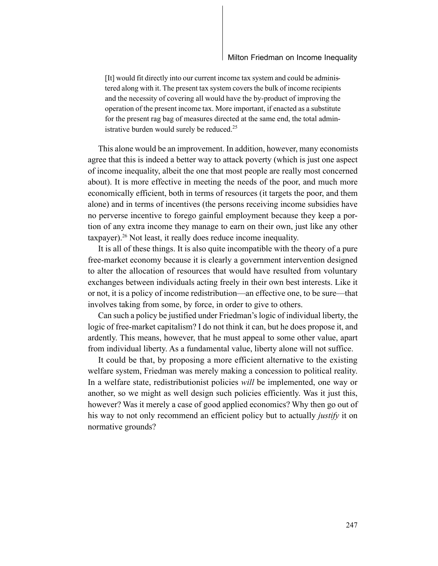[It] would fit directly into our current income tax system and could be administered along with it. The present tax system covers the bulk of income recipients and the necessity of covering all would have the by-product of improving the operation of the present income tax. More important, if enacted as a substitute for the present rag bag of measures directed at the same end, the total administrative burden would surely be reduced.<sup>25</sup>

This alone would be an improvement. In addition, however, many economists agree that this is indeed a better way to attack poverty (which is just one aspect of income inequality, albeit the one that most people are really most concerned about). It is more effective in meeting the needs of the poor, and much more economically efficient, both in terms of resources (it targets the poor, and them alone) and in terms of incentives (the persons receiving income subsidies have no perverse incentive to forego gainful employment because they keep a portion of any extra income they manage to earn on their own, just like any other taxpayer).26 Not least, it really does reduce income inequality.

It is all of these things. It is also quite incompatible with the theory of a pure free-market economy because it is clearly a government intervention designed to alter the allocation of resources that would have resulted from voluntary exchanges between individuals acting freely in their own best interests. Like it or not, it is a policy of income redistribution—an effective one, to be sure—that involves taking from some, by force, in order to give to others.

Can such a policy be justified under Friedman's logic of individual liberty, the logic of free-market capitalism? I do not think it can, but he does propose it, and ardently. This means, however, that he must appeal to some other value, apart from individual liberty. As a fundamental value, liberty alone will not suffice.

It could be that, by proposing a more efficient alternative to the existing welfare system, Friedman was merely making a concession to political reality. In a welfare state, redistributionist policies *will* be implemented, one way or another, so we might as well design such policies efficiently. Was it just this, however? Was it merely a case of good applied economics? Why then go out of his way to not only recommend an efficient policy but to actually *justify* it on normative grounds?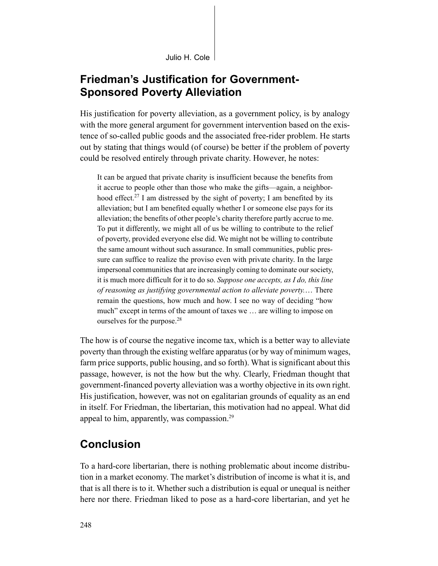# **Friedman's Justification for Government-Sponsored Poverty Alleviation**

His justification for poverty alleviation, as a government policy, is by analogy with the more general argument for government intervention based on the existence of so-called public goods and the associated free-rider problem. He starts out by stating that things would (of course) be better if the problem of poverty could be resolved entirely through private charity. However, he notes:

It can be argued that private charity is insufficient because the benefits from it accrue to people other than those who make the gifts—again, a neighborhood effect.<sup>27</sup> I am distressed by the sight of poverty; I am benefited by its alleviation; but I am benefited equally whether I or someone else pays for its alleviation; the benefits of other people's charity therefore partly accrue to me. To put it differently, we might all of us be willing to contribute to the relief of poverty, provided everyone else did. We might not be willing to contribute the same amount without such assurance. In small communities, public pressure can suffice to realize the proviso even with private charity. In the large impersonal communities that are increasingly coming to dominate our society, it is much more difficult for it to do so. *Suppose one accepts, as I do, this line of reasoning as justifying governmental action to alleviate poverty.*… There remain the questions, how much and how. I see no way of deciding "how much" except in terms of the amount of taxes we … are willing to impose on ourselves for the purpose.28

The how is of course the negative income tax, which is a better way to alleviate poverty than through the existing welfare apparatus (or by way of minimum wages, farm price supports, public housing, and so forth). What is significant about this passage, however, is not the how but the why. Clearly, Friedman thought that government-financed poverty alleviation was a worthy objective in its own right. His justification, however, was not on egalitarian grounds of equality as an end in itself. For Friedman, the libertarian, this motivation had no appeal. What did appeal to him, apparently, was compassion.<sup>29</sup>

# **Conclusion**

To a hard-core libertarian, there is nothing problematic about income distribution in a market economy. The market's distribution of income is what it is, and that is all there is to it. Whether such a distribution is equal or unequal is neither here nor there. Friedman liked to pose as a hard-core libertarian, and yet he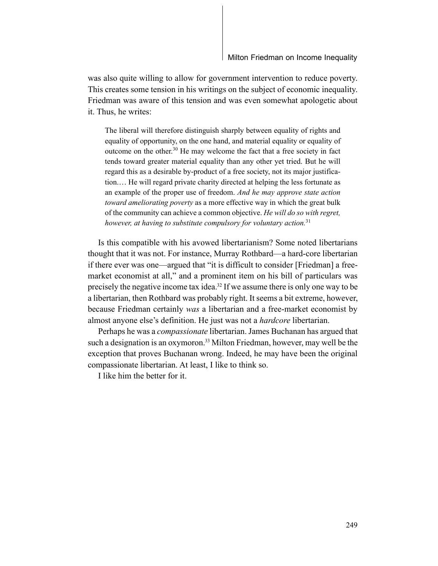was also quite willing to allow for government intervention to reduce poverty. This creates some tension in his writings on the subject of economic inequality. Friedman was aware of this tension and was even somewhat apologetic about it. Thus, he writes:

The liberal will therefore distinguish sharply between equality of rights and equality of opportunity, on the one hand, and material equality or equality of outcome on the other.<sup>30</sup> He may welcome the fact that a free society in fact tends toward greater material equality than any other yet tried. But he will regard this as a desirable by-product of a free society, not its major justification.… He will regard private charity directed at helping the less fortunate as an example of the proper use of freedom. *And he may approve state action toward ameliorating poverty* as a more effective way in which the great bulk of the community can achieve a common objective. *He will do so with regret, however, at having to substitute compulsory for voluntary action.*<sup>31</sup>

Is this compatible with his avowed libertarianism? Some noted libertarians thought that it was not. For instance, Murray Rothbard—a hard-core libertarian if there ever was one—argued that "it is difficult to consider [Friedman] a freemarket economist at all," and a prominent item on his bill of particulars was precisely the negative income tax idea.32 If we assume there is only one way to be a libertarian, then Rothbard was probably right. It seems a bit extreme, however, because Friedman certainly *was* a libertarian and a free-market economist by almost anyone else's definition. He just was not a *hardcore* libertarian.

Perhaps he was a *compassionate* libertarian. James Buchanan has argued that such a designation is an oxymoron.<sup>33</sup> Milton Friedman, however, may well be the exception that proves Buchanan wrong. Indeed, he may have been the original compassionate libertarian. At least, I like to think so.

I like him the better for it.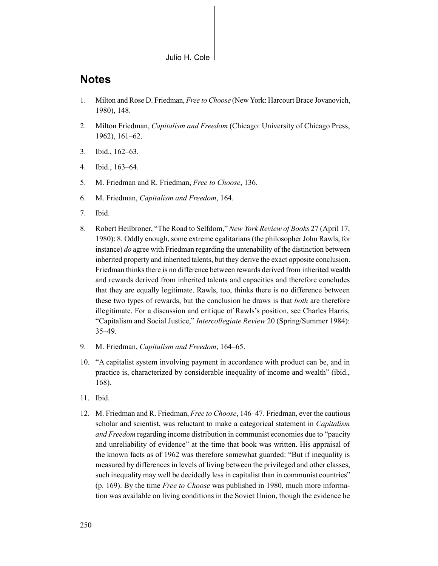### **Notes**

- 1. Milton and Rose D. Friedman, *Free to Choose* (New York: Harcourt Brace Jovanovich, 1980), 148.
- 2. Milton Friedman, *Capitalism and Freedom* (Chicago: University of Chicago Press, 1962), 161–62.
- 3. Ibid., 162–63.
- 4. Ibid., 163–64.
- 5. M. Friedman and R. Friedman, *Free to Choose*, 136.
- 6. M. Friedman, *Capitalism and Freedom*, 164.
- 7. Ibid.
- 8. Robert Heilbroner, "The Road to Selfdom," *New York Review of Books* 27 (April 17, 1980): 8. Oddly enough, some extreme egalitarians (the philosopher John Rawls, for instance) *do* agree with Friedman regarding the untenability of the distinction between inherited property and inherited talents, but they derive the exact opposite conclusion. Friedman thinks there is no difference between rewards derived from inherited wealth and rewards derived from inherited talents and capacities and therefore concludes that they are equally legitimate. Rawls, too, thinks there is no difference between these two types of rewards, but the conclusion he draws is that *both* are therefore illegitimate. For a discussion and critique of Rawls's position, see Charles Harris, "Capitalism and Social Justice," *Intercollegiate Review* 20 (Spring/Summer 1984): 35–49.
- 9. M. Friedman, *Capitalism and Freedom*, 164–65.
- 10. "A capitalist system involving payment in accordance with product can be, and in practice is, characterized by considerable inequality of income and wealth" (ibid., 168).
- 11. Ibid.
- 12. M. Friedman and R. Friedman, *Free to Choose*, 146–47. Friedman, ever the cautious scholar and scientist, was reluctant to make a categorical statement in *Capitalism and Freedom* regarding income distribution in communist economies due to "paucity and unreliability of evidence" at the time that book was written. His appraisal of the known facts as of 1962 was therefore somewhat guarded: "But if inequality is measured by differences in levels of living between the privileged and other classes, such inequality may well be decidedly less in capitalist than in communist countries" (p. 169). By the time *Free to Choose* was published in 1980, much more information was available on living conditions in the Soviet Union, though the evidence he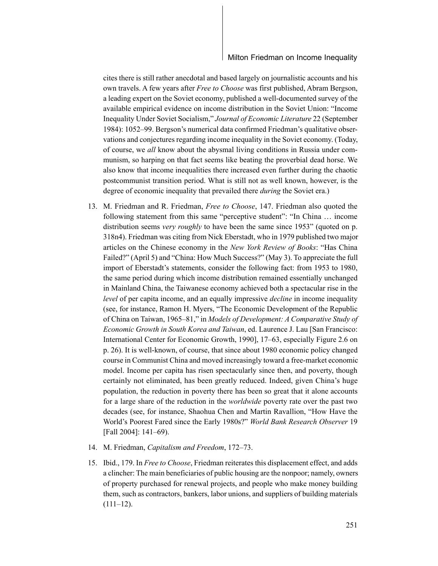cites there is still rather anecdotal and based largely on journalistic accounts and his own travels. A few years after *Free to Choose* was first published, Abram Bergson, a leading expert on the Soviet economy, published a well-documented survey of the available empirical evidence on income distribution in the Soviet Union: "Income Inequality Under Soviet Socialism," *Journal of Economic Literature* 22 (September 1984): 1052–99. Bergson's numerical data confirmed Friedman's qualitative observations and conjectures regarding income inequality in the Soviet economy. (Today, of course, we *all* know about the abysmal living conditions in Russia under communism, so harping on that fact seems like beating the proverbial dead horse. We also know that income inequalities there increased even further during the chaotic postcommunist transition period. What is still not as well known, however, is the degree of economic inequality that prevailed there *during* the Soviet era.)

- 13. M. Friedman and R. Friedman, *Free to Choose*, 147. Friedman also quoted the following statement from this same "perceptive student": "In China … income distribution seems *very roughly* to have been the same since 1953" (quoted on p. 318n4). Friedman was citing from Nick Eberstadt, who in 1979 published two major articles on the Chinese economy in the *New York Review of Books*: "Has China Failed?" (April 5) and "China: How Much Success?" (May 3). To appreciate the full import of Eberstadt's statements, consider the following fact: from 1953 to 1980, the same period during which income distribution remained essentially unchanged in Mainland China, the Taiwanese economy achieved both a spectacular rise in the *level* of per capita income, and an equally impressive *decline* in income inequality (see, for instance, Ramon H. Myers, "The Economic Development of the Republic of China on Taiwan, 1965–81," in *Models of Development: A Comparative Study of Economic Growth in South Korea and Taiwan*, ed. Laurence J. Lau [San Francisco: International Center for Economic Growth, 1990], 17–63, especially Figure 2.6 on p. 26). It is well-known, of course, that since about 1980 economic policy changed course in Communist China and moved increasingly toward a free-market economic model. Income per capita has risen spectacularly since then, and poverty, though certainly not eliminated, has been greatly reduced. Indeed, given China's huge population, the reduction in poverty there has been so great that it alone accounts for a large share of the reduction in the *worldwide* poverty rate over the past two decades (see, for instance, Shaohua Chen and Martin Ravallion, "How Have the World's Poorest Fared since the Early 1980s?" *World Bank Research Observer* 19 [Fall 2004]: 141-69).
- 14. M. Friedman, *Capitalism and Freedom*, 172–73.
- 15. Ibid., 179. In *Free to Choose*, Friedman reiterates this displacement effect, and adds a clincher: The main beneficiaries of public housing are the nonpoor; namely, owners of property purchased for renewal projects, and people who make money building them, such as contractors, bankers, labor unions, and suppliers of building materials  $(111-12)$ .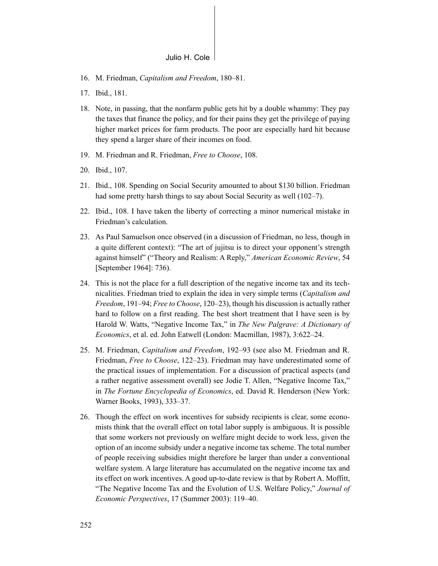- 16. M. Friedman, *Capitalism and Freedom*, 180–81.
- 17. Ibid., 181.
- 18. Note, in passing, that the nonfarm public gets hit by a double whammy: They pay the taxes that finance the policy, and for their pains they get the privilege of paying higher market prices for farm products. The poor are especially hard hit because they spend a larger share of their incomes on food.
- 19. M. Friedman and R. Friedman, *Free to Choose*, 108.
- 20. Ibid., 107.
- 21. Ibid., 108. Spending on Social Security amounted to about \$130 billion. Friedman had some pretty harsh things to say about Social Security as well (102–7).
- 22. Ibid., 108. I have taken the liberty of correcting a minor numerical mistake in Friedman's calculation.
- 23. As Paul Samuelson once observed (in a discussion of Friedman, no less, though in a quite different context): "The art of jujitsu is to direct your opponent's strength against himself" ("Theory and Realism: A Reply," *American Economic Review*, 54 [September 1964]: 736).
- 24. This is not the place for a full description of the negative income tax and its technicalities. Friedman tried to explain the idea in very simple terms (*Capitalism and Freedom*, 191–94; *Free to Choose*, 120–23), though his discussion is actually rather hard to follow on a first reading. The best short treatment that I have seen is by Harold W. Watts, "Negative Income Tax," in *The New Palgrave: A Dictionary of Economics*, et al. ed. John Eatwell (London: Macmillan, 1987), 3:622–24.
- 25. M. Friedman, *Capitalism and Freedom*, 192–93 (see also M. Friedman and R. Friedman, *Free to Choose*, 122–23). Friedman may have underestimated some of the practical issues of implementation. For a discussion of practical aspects (and a rather negative assessment overall) see Jodie T. Allen, "Negative Income Tax," in *The Fortune Encyclopedia of Economics*, ed. David R. Henderson (New York: Warner Books, 1993), 333–37.
- 26. Though the effect on work incentives for subsidy recipients is clear, some economists think that the overall effect on total labor supply is ambiguous. It is possible that some workers not previously on welfare might decide to work less, given the option of an income subsidy under a negative income tax scheme. The total number of people receiving subsidies might therefore be larger than under a conventional welfare system. A large literature has accumulated on the negative income tax and its effect on work incentives. A good up-to-date review is that by Robert A. Moffitt, "The Negative Income Tax and the Evolution of U.S. Welfare Policy," *Journal of Economic Perspectives*, 17 (Summer 2003): 119–40.